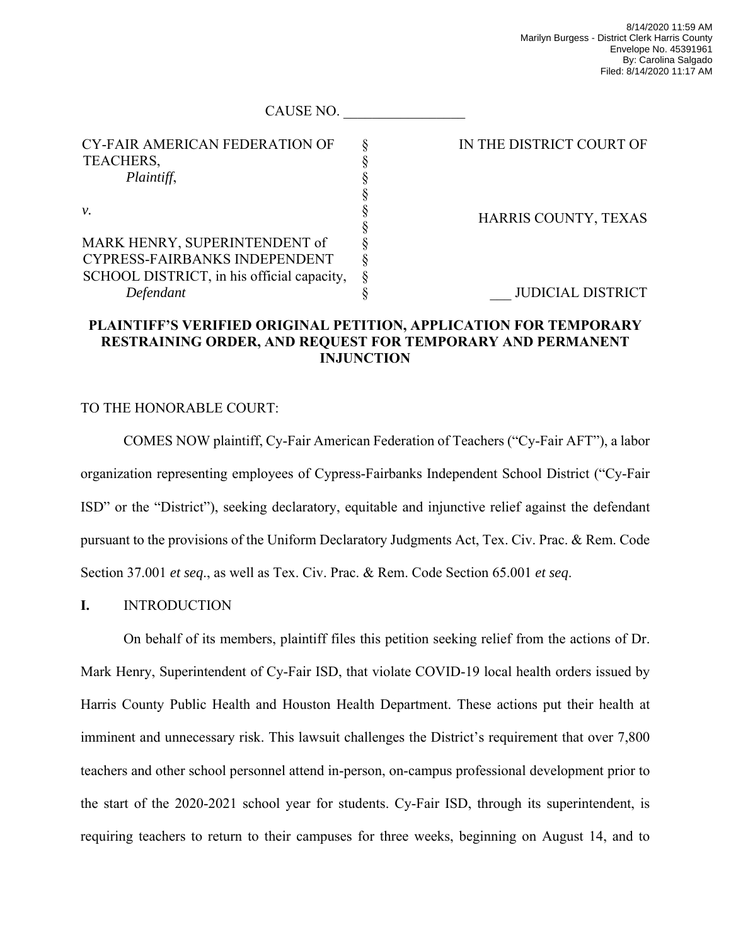| <b>CY-FAIR AMERICAN FEDERATION OF</b>      | IN THE DISTRICT COURT OF |
|--------------------------------------------|--------------------------|
| TEACHERS,                                  |                          |
| Plaintiff,                                 |                          |
|                                            |                          |
| ν.                                         | HARRIS COUNTY, TEXAS     |
|                                            |                          |
| MARK HENRY, SUPERINTENDENT of              |                          |
| CYPRESS-FAIRBANKS INDEPENDENT              |                          |
| SCHOOL DISTRICT, in his official capacity, |                          |
| Defendant                                  | <b>JUDICIAL DISTRICT</b> |
|                                            |                          |

CAUSE NO.

# **PLAINTIFF'S VERIFIED ORIGINAL PETITION, APPLICATION FOR TEMPORARY RESTRAINING ORDER, AND REQUEST FOR TEMPORARY AND PERMANENT INJUNCTION**

# TO THE HONORABLE COURT:

COMES NOW plaintiff, Cy-Fair American Federation of Teachers ("Cy-Fair AFT"), a labor organization representing employees of Cypress-Fairbanks Independent School District ("Cy-Fair ISD" or the "District"), seeking declaratory, equitable and injunctive relief against the defendant pursuant to the provisions of the Uniform Declaratory Judgments Act, Tex. Civ. Prac. & Rem. Code Section 37.001 *et seq*., as well as Tex. Civ. Prac. & Rem. Code Section 65.001 *et seq*.

## **I.** INTRODUCTION

On behalf of its members, plaintiff files this petition seeking relief from the actions of Dr. Mark Henry, Superintendent of Cy-Fair ISD, that violate COVID-19 local health orders issued by Harris County Public Health and Houston Health Department. These actions put their health at imminent and unnecessary risk. This lawsuit challenges the District's requirement that over 7,800 teachers and other school personnel attend in-person, on-campus professional development prior to the start of the 2020-2021 school year for students. Cy-Fair ISD, through its superintendent, is requiring teachers to return to their campuses for three weeks, beginning on August 14, and to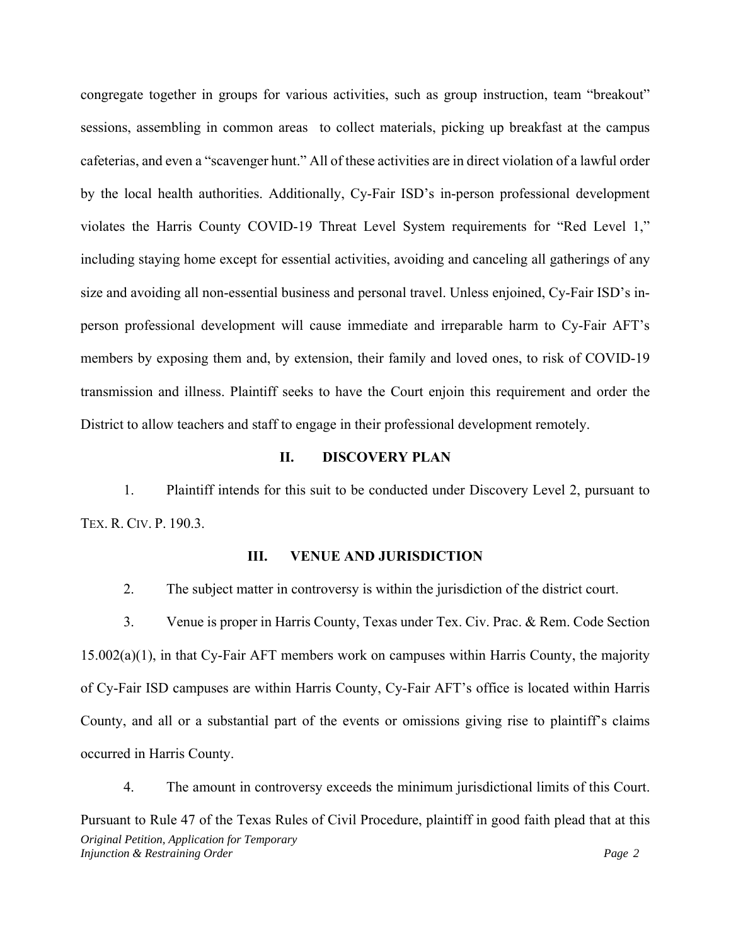congregate together in groups for various activities, such as group instruction, team "breakout" sessions, assembling in common areas to collect materials, picking up breakfast at the campus cafeterias, and even a "scavenger hunt." All of these activities are in direct violation of a lawful order by the local health authorities. Additionally, Cy-Fair ISD's in-person professional development violates the Harris County COVID-19 Threat Level System requirements for "Red Level 1," including staying home except for essential activities, avoiding and canceling all gatherings of any size and avoiding all non-essential business and personal travel. Unless enjoined, Cy-Fair ISD's inperson professional development will cause immediate and irreparable harm to Cy-Fair AFT's members by exposing them and, by extension, their family and loved ones, to risk of COVID-19 transmission and illness. Plaintiff seeks to have the Court enjoin this requirement and order the District to allow teachers and staff to engage in their professional development remotely.

#### **II. DISCOVERY PLAN**

1. Plaintiff intends for this suit to be conducted under Discovery Level 2, pursuant to TEX. R. CIV. P. 190.3.

#### **III. VENUE AND JURISDICTION**

2. The subject matter in controversy is within the jurisdiction of the district court.

3. Venue is proper in Harris County, Texas under Tex. Civ. Prac. & Rem. Code Section 15.002(a)(1), in that Cy-Fair AFT members work on campuses within Harris County, the majority of Cy-Fair ISD campuses are within Harris County, Cy-Fair AFT's office is located within Harris County, and all or a substantial part of the events or omissions giving rise to plaintiff's claims occurred in Harris County.

*Original Petition, Application for Temporary Injunction & Restraining Order Page 2 Page 2 Page 2 Page 2 Page 2 Page 2 Page 2 Page 2 Page 2 Page 2 Page 2 Page 2 Page 2 Page 2 Page 2 Page 2 Page 2 Page 2 Page 2 Page 2 Page 2* 4. The amount in controversy exceeds the minimum jurisdictional limits of this Court. Pursuant to Rule 47 of the Texas Rules of Civil Procedure, plaintiff in good faith plead that at this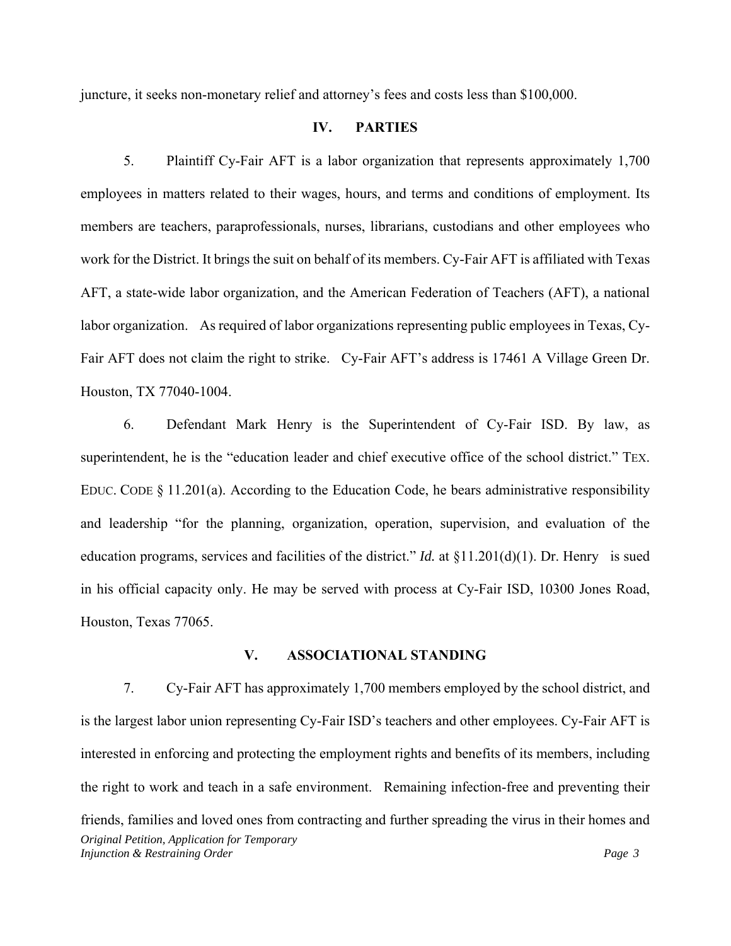juncture, it seeks non-monetary relief and attorney's fees and costs less than \$100,000.

## **IV. PARTIES**

5. Plaintiff Cy-Fair AFT is a labor organization that represents approximately 1,700 employees in matters related to their wages, hours, and terms and conditions of employment. Its members are teachers, paraprofessionals, nurses, librarians, custodians and other employees who work for the District. It brings the suit on behalf of its members. Cy-Fair AFT is affiliated with Texas AFT, a state-wide labor organization, and the American Federation of Teachers (AFT), a national labor organization. As required of labor organizations representing public employees in Texas, Cy-Fair AFT does not claim the right to strike. Cy-Fair AFT's address is 17461 A Village Green Dr. Houston, TX 77040-1004.

6. Defendant Mark Henry is the Superintendent of Cy-Fair ISD. By law, as superintendent, he is the "education leader and chief executive office of the school district." TEX. EDUC. CODE  $\S 11.201(a)$ . According to the Education Code, he bears administrative responsibility and leadership "for the planning, organization, operation, supervision, and evaluation of the education programs, services and facilities of the district." *Id.* at §11.201(d)(1). Dr. Henry is sued in his official capacity only. He may be served with process at Cy-Fair ISD, 10300 Jones Road, Houston, Texas 77065.

#### **V. ASSOCIATIONAL STANDING**

*Original Petition, Application for Temporary Injunction & Restraining Order Page 3 Page 3 Page 3 Page 3 Page 3* 7. Cy-Fair AFT has approximately 1,700 members employed by the school district, and is the largest labor union representing Cy-Fair ISD's teachers and other employees. Cy-Fair AFT is interested in enforcing and protecting the employment rights and benefits of its members, including the right to work and teach in a safe environment. Remaining infection-free and preventing their friends, families and loved ones from contracting and further spreading the virus in their homes and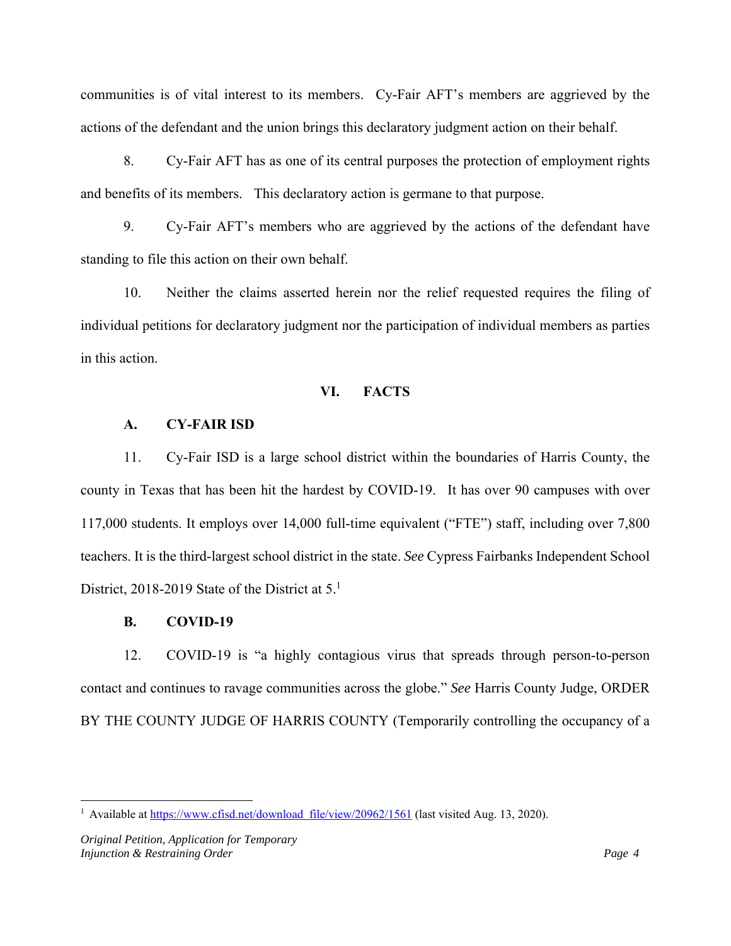communities is of vital interest to its members. Cy-Fair AFT's members are aggrieved by the actions of the defendant and the union brings this declaratory judgment action on their behalf.

8. Cy-Fair AFT has as one of its central purposes the protection of employment rights and benefits of its members. This declaratory action is germane to that purpose.

9. Cy-Fair AFT's members who are aggrieved by the actions of the defendant have standing to file this action on their own behalf.

10. Neither the claims asserted herein nor the relief requested requires the filing of individual petitions for declaratory judgment nor the participation of individual members as parties in this action.

#### **VI. FACTS**

#### **A. CY-FAIR ISD**

11. Cy-Fair ISD is a large school district within the boundaries of Harris County, the county in Texas that has been hit the hardest by COVID-19. It has over 90 campuses with over 117,000 students. It employs over 14,000 full-time equivalent ("FTE") staff, including over 7,800 teachers. It is the third-largest school district in the state. *See* Cypress Fairbanks Independent School District, 2018-2019 State of the District at  $5<sup>1</sup>$ 

#### **B. COVID-19**

12. COVID-19 is "a highly contagious virus that spreads through person-to-person contact and continues to ravage communities across the globe." *See* Harris County Judge, ORDER BY THE COUNTY JUDGE OF HARRIS COUNTY (Temporarily controlling the occupancy of a

<sup>&</sup>lt;sup>1</sup> Available at https://www.cfisd.net/download file/view/20962/1561 (last visited Aug. 13, 2020).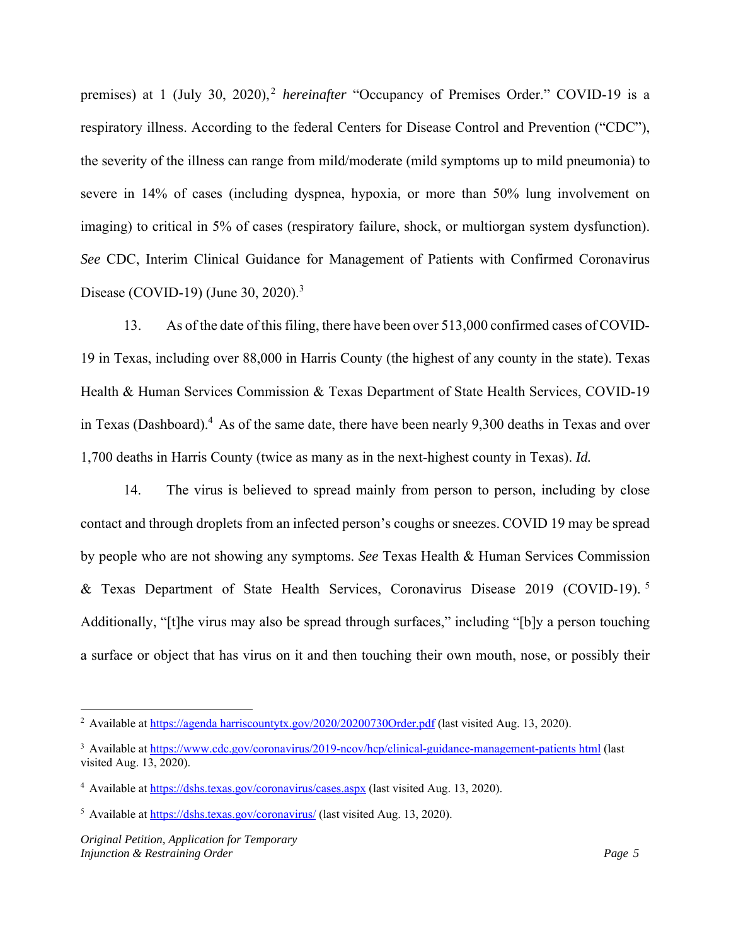premises) at 1 (July 30, 2020),<sup>2</sup> *hereinafter* "Occupancy of Premises Order." COVID-19 is a respiratory illness. According to the federal Centers for Disease Control and Prevention ("CDC"), the severity of the illness can range from mild/moderate (mild symptoms up to mild pneumonia) to severe in 14% of cases (including dyspnea, hypoxia, or more than 50% lung involvement on imaging) to critical in 5% of cases (respiratory failure, shock, or multiorgan system dysfunction). *See* CDC, Interim Clinical Guidance for Management of Patients with Confirmed Coronavirus Disease (COVID-19) (June 30, 2020).<sup>3</sup>

13. As of the date of this filing, there have been over 513,000 confirmed cases of COVID-19 in Texas, including over 88,000 in Harris County (the highest of any county in the state). Texas Health & Human Services Commission & Texas Department of State Health Services, COVID-19 in Texas (Dashboard).<sup>4</sup> As of the same date, there have been nearly 9,300 deaths in Texas and over 1,700 deaths in Harris County (twice as many as in the next-highest county in Texas). *Id.*

14. The virus is believed to spread mainly from person to person, including by close contact and through droplets from an infected person's coughs or sneezes. COVID 19 may be spread by people who are not showing any symptoms. *See* Texas Health & Human Services Commission & Texas Department of State Health Services, Coronavirus Disease 2019 (COVID-19). <sup>5</sup> Additionally, "[t]he virus may also be spread through surfaces," including "[b]y a person touching a surface or object that has virus on it and then touching their own mouth, nose, or possibly their

<sup>&</sup>lt;sup>2</sup> Available at https://agenda harriscountytx.gov/2020/20200730Order.pdf (last visited Aug. 13, 2020).

<sup>&</sup>lt;sup>3</sup> Available at https://www.cdc.gov/coronavirus/2019-ncov/hcp/clinical-guidance-management-patients html (last visited Aug. 13, 2020).

<sup>&</sup>lt;sup>4</sup> Available at https://dshs.texas.gov/coronavirus/cases.aspx (last visited Aug. 13, 2020).

<sup>&</sup>lt;sup>5</sup> Available at https://dshs.texas.gov/coronavirus/ (last visited Aug. 13, 2020).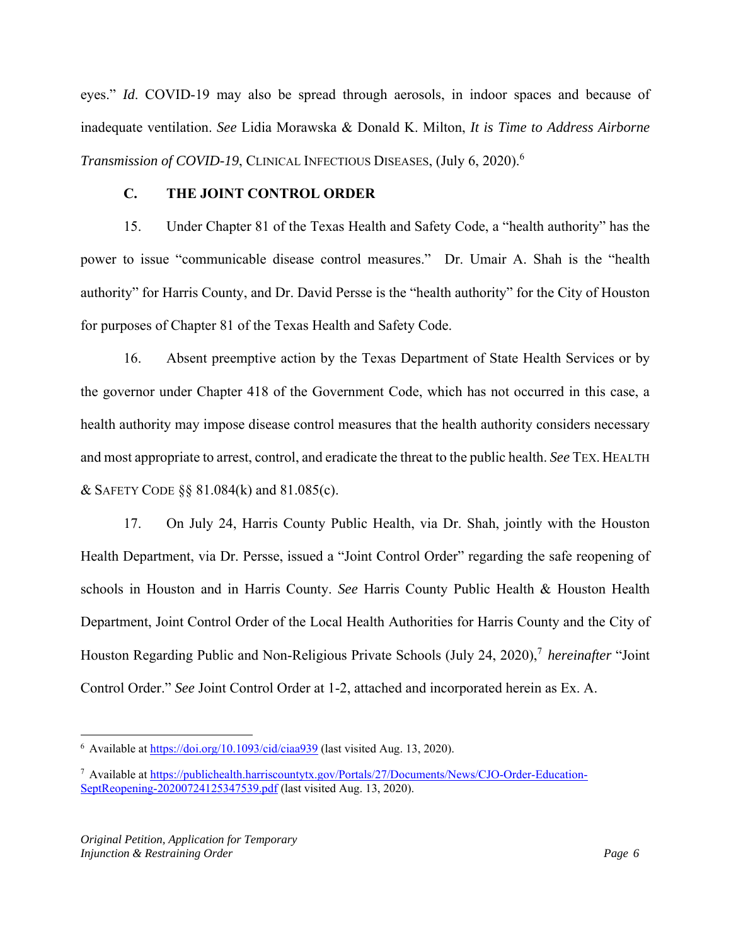eyes." *Id*. COVID-19 may also be spread through aerosols, in indoor spaces and because of inadequate ventilation. *See* Lidia Morawska & Donald K. Milton, *It is Time to Address Airborne Transmission of COVID-19*, CLINICAL INFECTIOUS DISEASES, (July 6, 2020).<sup>6</sup>

## **C. THE JOINT CONTROL ORDER**

15. Under Chapter 81 of the Texas Health and Safety Code, a "health authority" has the power to issue "communicable disease control measures." Dr. Umair A. Shah is the "health authority" for Harris County, and Dr. David Persse is the "health authority" for the City of Houston for purposes of Chapter 81 of the Texas Health and Safety Code.

16. Absent preemptive action by the Texas Department of State Health Services or by the governor under Chapter 418 of the Government Code, which has not occurred in this case, a health authority may impose disease control measures that the health authority considers necessary and most appropriate to arrest, control, and eradicate the threat to the public health. *See* TEX. HEALTH & SAFETY CODE  $\S$ § 81.084(k) and 81.085(c).

17. On July 24, Harris County Public Health, via Dr. Shah, jointly with the Houston Health Department, via Dr. Persse, issued a "Joint Control Order" regarding the safe reopening of schools in Houston and in Harris County. *See* Harris County Public Health & Houston Health Department, Joint Control Order of the Local Health Authorities for Harris County and the City of Houston Regarding Public and Non-Religious Private Schools (July 24, 2020),7 *hereinafter* "Joint Control Order." *See* Joint Control Order at 1-2, attached and incorporated herein as Ex. A.

<sup>&</sup>lt;sup>6</sup> Available at https://doi.org/10.1093/cid/ciaa939 (last visited Aug. 13, 2020).

<sup>7</sup> Available at https://publichealth.harriscountytx.gov/Portals/27/Documents/News/CJO-Order-Education-SeptReopening-20200724125347539.pdf (last visited Aug. 13, 2020).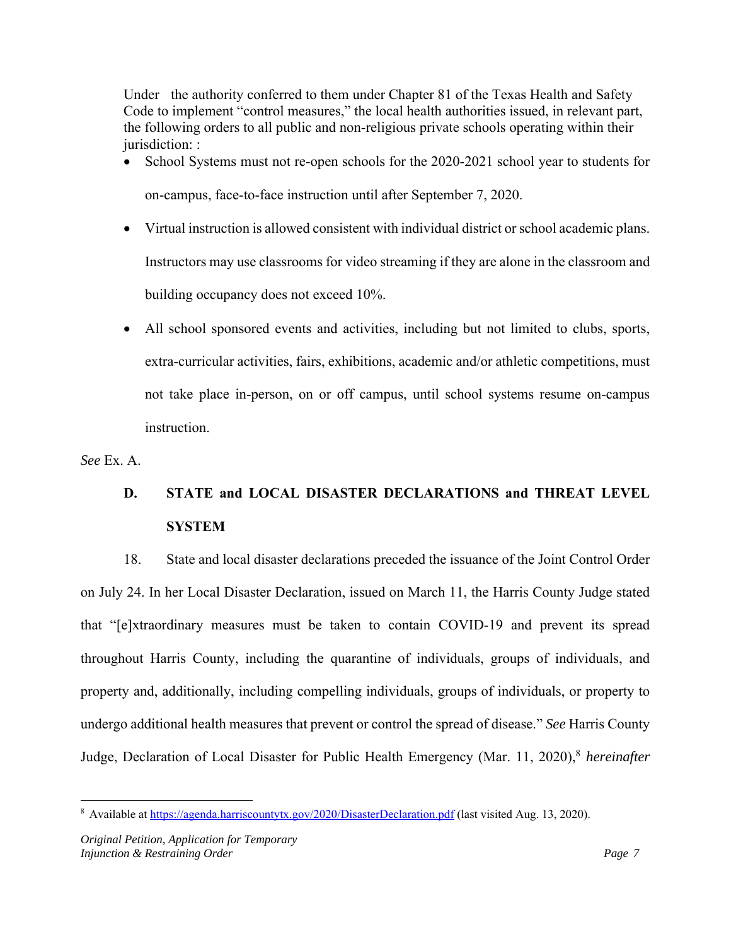Under the authority conferred to them under Chapter 81 of the Texas Health and Safety Code to implement "control measures," the local health authorities issued, in relevant part, the following orders to all public and non-religious private schools operating within their jurisdiction: :

- School Systems must not re-open schools for the 2020-2021 school year to students for on-campus, face-to-face instruction until after September 7, 2020.
- Virtual instruction is allowed consistent with individual district or school academic plans. Instructors may use classrooms for video streaming if they are alone in the classroom and building occupancy does not exceed 10%.
- All school sponsored events and activities, including but not limited to clubs, sports, extra-curricular activities, fairs, exhibitions, academic and/or athletic competitions, must not take place in-person, on or off campus, until school systems resume on-campus instruction.

*See* Ex. A.

# **D. STATE and LOCAL DISASTER DECLARATIONS and THREAT LEVEL SYSTEM**

18. State and local disaster declarations preceded the issuance of the Joint Control Order on July 24. In her Local Disaster Declaration, issued on March 11, the Harris County Judge stated that "[e]xtraordinary measures must be taken to contain COVID-19 and prevent its spread throughout Harris County, including the quarantine of individuals, groups of individuals, and property and, additionally, including compelling individuals, groups of individuals, or property to undergo additional health measures that prevent or control the spread of disease." *See* Harris County Judge, Declaration of Local Disaster for Public Health Emergency (Mar. 11, 2020),<sup>8</sup> *hereinafter* 

<sup>&</sup>lt;sup>8</sup> Available at https://agenda.harriscountytx.gov/2020/DisasterDeclaration.pdf (last visited Aug. 13, 2020).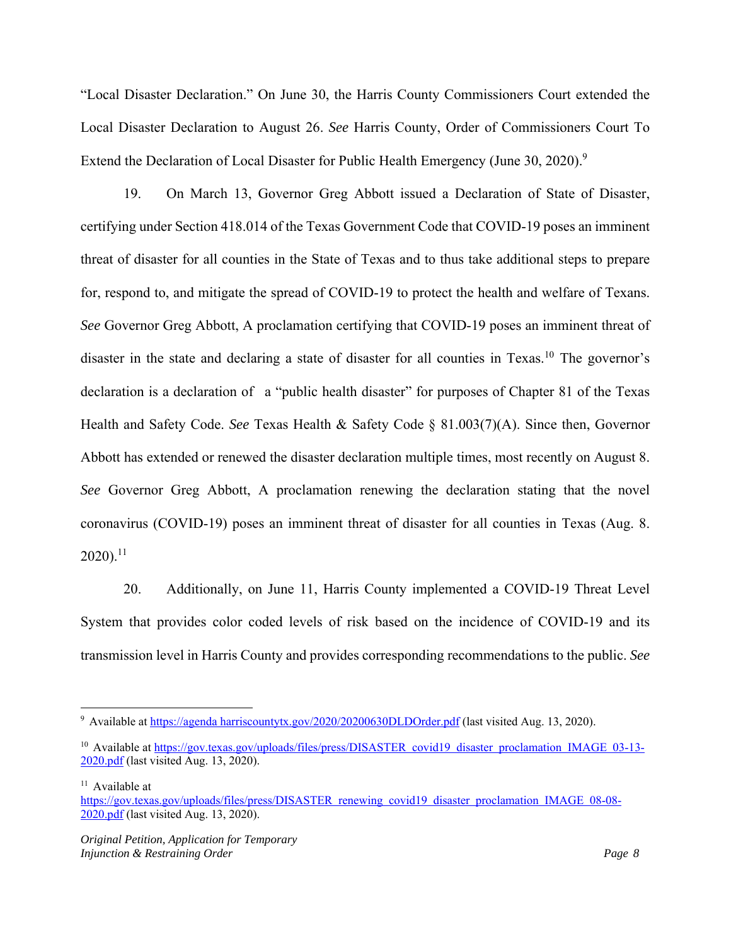"Local Disaster Declaration." On June 30, the Harris County Commissioners Court extended the Local Disaster Declaration to August 26. *See* Harris County, Order of Commissioners Court To Extend the Declaration of Local Disaster for Public Health Emergency (June 30, 2020).<sup>9</sup>

19. On March 13, Governor Greg Abbott issued a Declaration of State of Disaster, certifying under Section 418.014 of the Texas Government Code that COVID-19 poses an imminent threat of disaster for all counties in the State of Texas and to thus take additional steps to prepare for, respond to, and mitigate the spread of COVID-19 to protect the health and welfare of Texans. *See* Governor Greg Abbott, A proclamation certifying that COVID-19 poses an imminent threat of disaster in the state and declaring a state of disaster for all counties in Texas.<sup>10</sup> The governor's declaration is a declaration of a "public health disaster" for purposes of Chapter 81 of the Texas Health and Safety Code. *See* Texas Health & Safety Code § 81.003(7)(A). Since then, Governor Abbott has extended or renewed the disaster declaration multiple times, most recently on August 8. *See* Governor Greg Abbott, A proclamation renewing the declaration stating that the novel coronavirus (COVID-19) poses an imminent threat of disaster for all counties in Texas (Aug. 8.  $2020$ ).<sup>11</sup>

20. Additionally, on June 11, Harris County implemented a COVID-19 Threat Level System that provides color coded levels of risk based on the incidence of COVID-19 and its transmission level in Harris County and provides corresponding recommendations to the public. *See* 

<sup>&</sup>lt;sup>9</sup> Available at https://agenda harriscountytx.gov/2020/20200630DLDOrder.pdf (last visited Aug. 13, 2020).

<sup>&</sup>lt;sup>10</sup> Available at https://gov.texas.gov/uploads/files/press/DISASTER covid19 disaster proclamation IMAGE 03-13-2020.pdf (last visited Aug. 13, 2020).

<sup>&</sup>lt;sup>11</sup> Available at

https://gov.texas.gov/uploads/files/press/DISASTER renewing covid19 disaster proclamation IMAGE 08-08- 2020.pdf (last visited Aug. 13, 2020).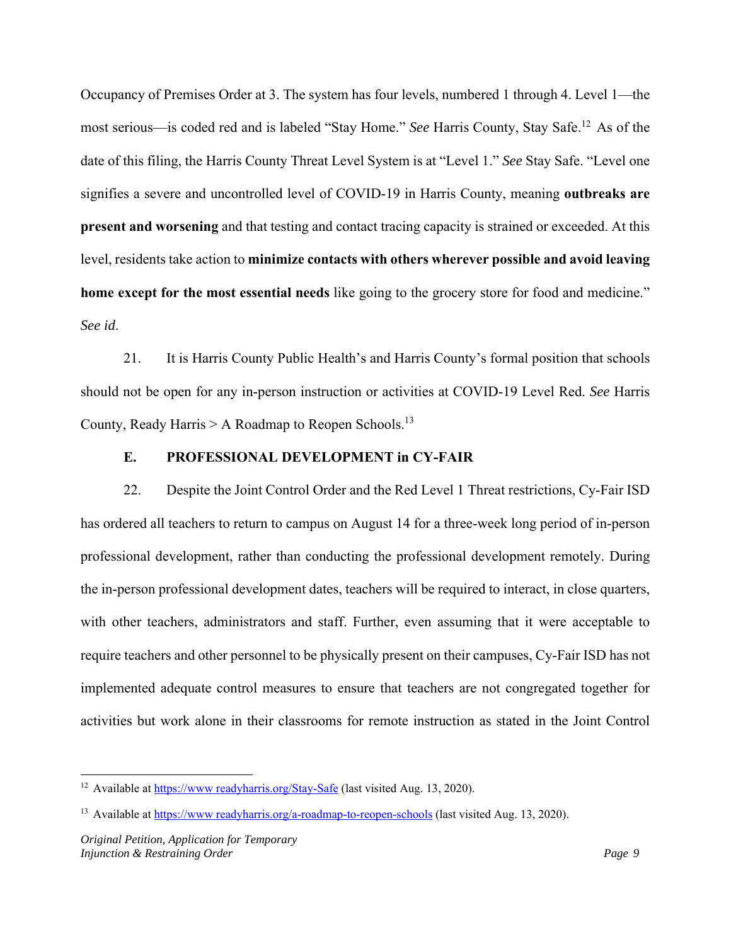Occupancy of Premises Order at 3. The system has four levels, numbered 1 through 4. Level 1—the most serious—is coded red and is labeled "Stay Home." *See* Harris County, Stay Safe.12 As of the date of this filing, the Harris County Threat Level System is at "Level 1." *See* Stay Safe. "Level one signifies a severe and uncontrolled level of COVID-19 in Harris County, meaning **outbreaks are present and worsening** and that testing and contact tracing capacity is strained or exceeded. At this level, residents take action to **minimize contacts with others wherever possible and avoid leaving home except for the most essential needs** like going to the grocery store for food and medicine." *See id*.

21. It is Harris County Public Health's and Harris County's formal position that schools should not be open for any in-person instruction or activities at COVID-19 Level Red. *See* Harris County, Ready Harris  $> A$  Roadmap to Reopen Schools.<sup>13</sup>

## **E. PROFESSIONAL DEVELOPMENT in CY-FAIR**

22. Despite the Joint Control Order and the Red Level 1 Threat restrictions, Cy-Fair ISD has ordered all teachers to return to campus on August 14 for a three-week long period of in-person professional development, rather than conducting the professional development remotely. During the in-person professional development dates, teachers will be required to interact, in close quarters, with other teachers, administrators and staff. Further, even assuming that it were acceptable to require teachers and other personnel to be physically present on their campuses, Cy-Fair ISD has not implemented adequate control measures to ensure that teachers are not congregated together for activities but work alone in their classrooms for remote instruction as stated in the Joint Control

<sup>&</sup>lt;sup>12</sup> Available at https://www.readyharris.org/Stay-Safe (last visited Aug. 13, 2020).

<sup>&</sup>lt;sup>13</sup> Available at https://www.readyharris.org/a-roadmap-to-reopen-schools (last visited Aug. 13, 2020).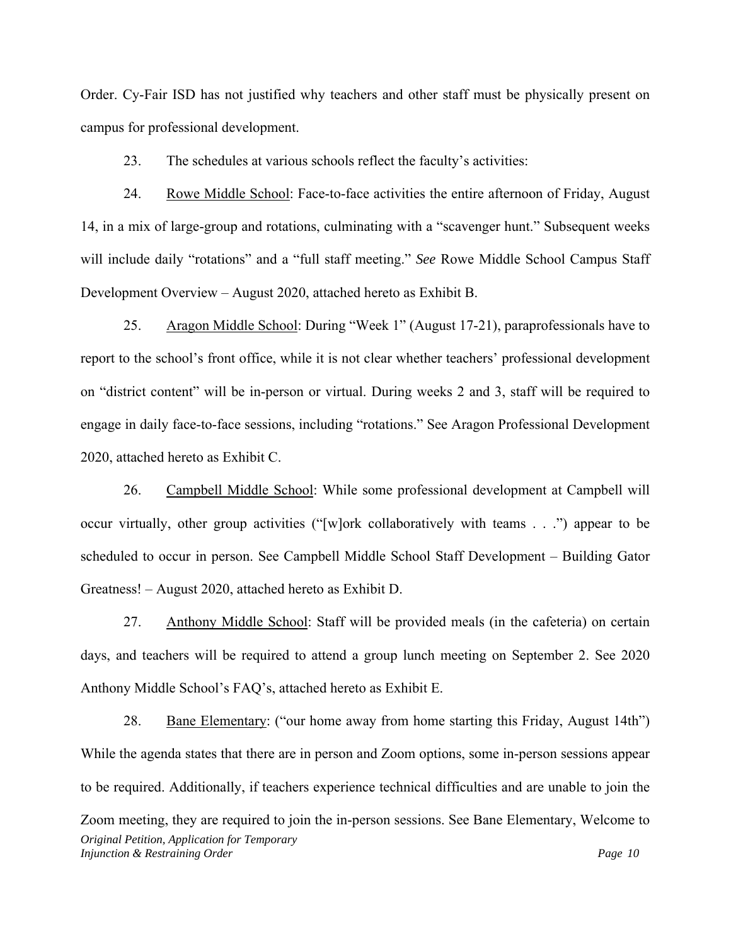Order. Cy-Fair ISD has not justified why teachers and other staff must be physically present on campus for professional development.

23. The schedules at various schools reflect the faculty's activities:

24. Rowe Middle School: Face-to-face activities the entire afternoon of Friday, August 14, in a mix of large-group and rotations, culminating with a "scavenger hunt." Subsequent weeks will include daily "rotations" and a "full staff meeting." *See* Rowe Middle School Campus Staff Development Overview – August 2020, attached hereto as Exhibit B.

25. Aragon Middle School: During "Week 1" (August 17-21), paraprofessionals have to report to the school's front office, while it is not clear whether teachers' professional development on "district content" will be in-person or virtual. During weeks 2 and 3, staff will be required to engage in daily face-to-face sessions, including "rotations." See Aragon Professional Development 2020, attached hereto as Exhibit C.

26. Campbell Middle School: While some professional development at Campbell will occur virtually, other group activities ("[w]ork collaboratively with teams . . .") appear to be scheduled to occur in person. See Campbell Middle School Staff Development – Building Gator Greatness! – August 2020, attached hereto as Exhibit D.

27. Anthony Middle School: Staff will be provided meals (in the cafeteria) on certain days, and teachers will be required to attend a group lunch meeting on September 2. See 2020 Anthony Middle School's FAQ's, attached hereto as Exhibit E.

*Original Petition, Application for Temporary Injunction & Restraining Order*  $\frac{1}{2}$  *Page 10*  $\frac{1}{2}$  *Page 10*  $\frac{1}{2}$  *Page 10*  $\frac{1}{2}$  *Page 10*  $\frac{1}{2}$  *Page 10* 28. Bane Elementary: ("our home away from home starting this Friday, August 14th") While the agenda states that there are in person and Zoom options, some in-person sessions appear to be required. Additionally, if teachers experience technical difficulties and are unable to join the Zoom meeting, they are required to join the in-person sessions. See Bane Elementary, Welcome to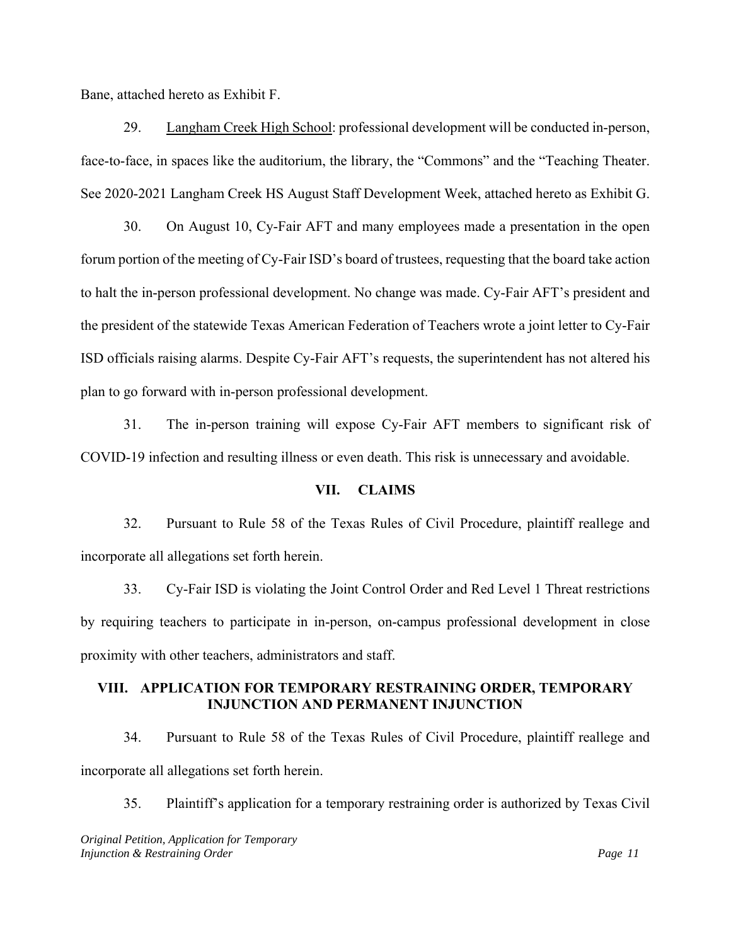Bane, attached hereto as Exhibit F.

29. Langham Creek High School: professional development will be conducted in-person, face-to-face, in spaces like the auditorium, the library, the "Commons" and the "Teaching Theater. See 2020-2021 Langham Creek HS August Staff Development Week, attached hereto as Exhibit G.

30. On August 10, Cy-Fair AFT and many employees made a presentation in the open forum portion of the meeting of Cy-Fair ISD's board of trustees, requesting that the board take action to halt the in-person professional development. No change was made. Cy-Fair AFT's president and the president of the statewide Texas American Federation of Teachers wrote a joint letter to Cy-Fair ISD officials raising alarms. Despite Cy-Fair AFT's requests, the superintendent has not altered his plan to go forward with in-person professional development.

31. The in-person training will expose Cy-Fair AFT members to significant risk of COVID-19 infection and resulting illness or even death. This risk is unnecessary and avoidable.

#### **VII. CLAIMS**

32. Pursuant to Rule 58 of the Texas Rules of Civil Procedure, plaintiff reallege and incorporate all allegations set forth herein.

33. Cy-Fair ISD is violating the Joint Control Order and Red Level 1 Threat restrictions by requiring teachers to participate in in-person, on-campus professional development in close proximity with other teachers, administrators and staff.

# **VIII. APPLICATION FOR TEMPORARY RESTRAINING ORDER, TEMPORARY INJUNCTION AND PERMANENT INJUNCTION**

34. Pursuant to Rule 58 of the Texas Rules of Civil Procedure, plaintiff reallege and incorporate all allegations set forth herein.

35. Plaintiff's application for a temporary restraining order is authorized by Texas Civil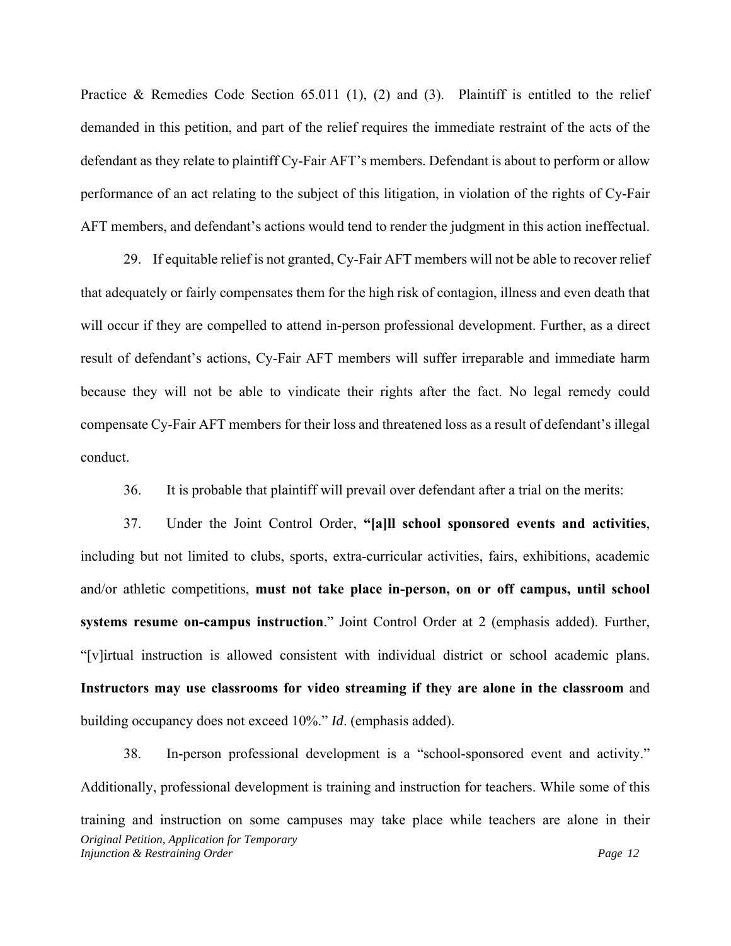Practice & Remedies Code Section 65.011 (1), (2) and (3). Plaintiff is entitled to the relief demanded in this petition, and part of the relief requires the immediate restraint of the acts of the defendant as they relate to plaintiff Cy-Fair AFT's members. Defendant is about to perform or allow performance of an act relating to the subject of this litigation, in violation of the rights of Cy-Fair AFT members, and defendant's actions would tend to render the judgment in this action ineffectual.

29. If equitable relief is not granted, Cy-Fair AFT members will not be able to recover relief that adequately or fairly compensates them for the high risk of contagion, illness and even death that will occur if they are compelled to attend in-person professional development. Further, as a direct result of defendant's actions, Cy-Fair AFT members will suffer irreparable and immediate harm because they will not be able to vindicate their rights after the fact. No legal remedy could compensate Cy-Fair AFT members for their loss and threatened loss as a result of defendant's illegal conduct.

36. It is probable that plaintiff will prevail over defendant after a trial on the merits:

37. Under the Joint Control Order, **"[a]ll school sponsored events and activities**, including but not limited to clubs, sports, extra-curricular activities, fairs, exhibitions, academic and/or athletic competitions, **must not take place in-person, on or off campus, until school systems resume on-campus instruction**." Joint Control Order at 2 (emphasis added). Further, "[v]irtual instruction is allowed consistent with individual district or school academic plans. **Instructors may use classrooms for video streaming if they are alone in the classroom** and building occupancy does not exceed 10%." *Id*. (emphasis added).

*Original Petition, Application for Temporary Injunction & Restraining Order* 2 *Page 12* 38. In-person professional development is a "school-sponsored event and activity." Additionally, professional development is training and instruction for teachers. While some of this training and instruction on some campuses may take place while teachers are alone in their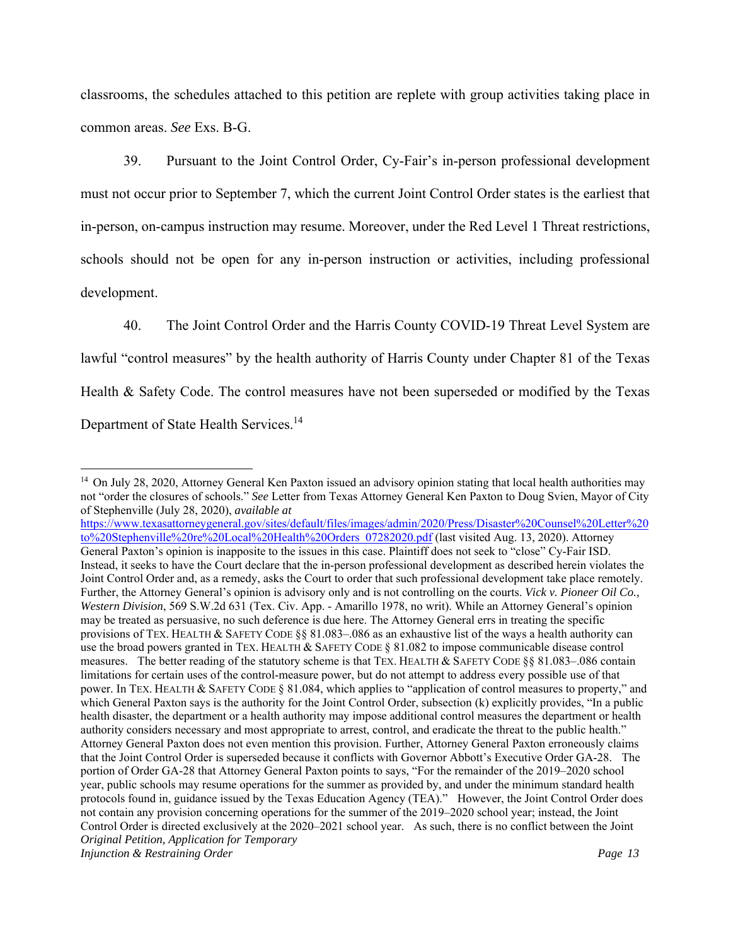classrooms, the schedules attached to this petition are replete with group activities taking place in common areas. *See* Exs. B-G.

39. Pursuant to the Joint Control Order, Cy-Fair's in-person professional development must not occur prior to September 7, which the current Joint Control Order states is the earliest that in-person, on-campus instruction may resume. Moreover, under the Red Level 1 Threat restrictions, schools should not be open for any in-person instruction or activities, including professional development.

40. The Joint Control Order and the Harris County COVID-19 Threat Level System are lawful "control measures" by the health authority of Harris County under Chapter 81 of the Texas Health & Safety Code. The control measures have not been superseded or modified by the Texas Department of State Health Services.<sup>14</sup>

*Original Petition, Application for Temporary Injunction & Restraining Order* Page 13 https://www.texasattorneygeneral.gov/sites/default/files/images/admin/2020/Press/Disaster%20Counsel%20Letter%20 to%20Stephenville%20re%20Local%20Health%20Orders 07282020.pdf (last visited Aug. 13, 2020). Attorney General Paxton's opinion is inapposite to the issues in this case. Plaintiff does not seek to "close" Cy-Fair ISD. Instead, it seeks to have the Court declare that the in-person professional development as described herein violates the Joint Control Order and, as a remedy, asks the Court to order that such professional development take place remotely. Further, the Attorney General's opinion is advisory only and is not controlling on the courts. *Vick v. Pioneer Oil Co., Western Division*, 569 S.W.2d 631 (Tex. Civ. App. - Amarillo 1978, no writ). While an Attorney General's opinion may be treated as persuasive, no such deference is due here. The Attorney General errs in treating the specific provisions of TEX. HEALTH & SAFETY CODE §§ 81.083–.086 as an exhaustive list of the ways a health authority can use the broad powers granted in TEX. HEALTH & SAFETY CODE § 81.082 to impose communicable disease control measures. The better reading of the statutory scheme is that TEX. HEALTH & SAFETY CODE §§ 81.083–.086 contain limitations for certain uses of the control-measure power, but do not attempt to address every possible use of that power. In TEX. HEALTH & SAFETY CODE § 81.084, which applies to "application of control measures to property," and which General Paxton says is the authority for the Joint Control Order, subsection (k) explicitly provides, "In a public health disaster, the department or a health authority may impose additional control measures the department or health authority considers necessary and most appropriate to arrest, control, and eradicate the threat to the public health." Attorney General Paxton does not even mention this provision. Further, Attorney General Paxton erroneously claims that the Joint Control Order is superseded because it conflicts with Governor Abbott's Executive Order GA-28. The portion of Order GA-28 that Attorney General Paxton points to says, "For the remainder of the 2019–2020 school year, public schools may resume operations for the summer as provided by, and under the minimum standard health protocols found in, guidance issued by the Texas Education Agency (TEA)." However, the Joint Control Order does not contain any provision concerning operations for the summer of the 2019–2020 school year; instead, the Joint Control Order is directed exclusively at the 2020–2021 school year. As such, there is no conflict between the Joint

<sup>&</sup>lt;sup>14</sup> On July 28, 2020, Attorney General Ken Paxton issued an advisory opinion stating that local health authorities may not "order the closures of schools." *See* Letter from Texas Attorney General Ken Paxton to Doug Svien, Mayor of City of Stephenville (July 28, 2020), *available at*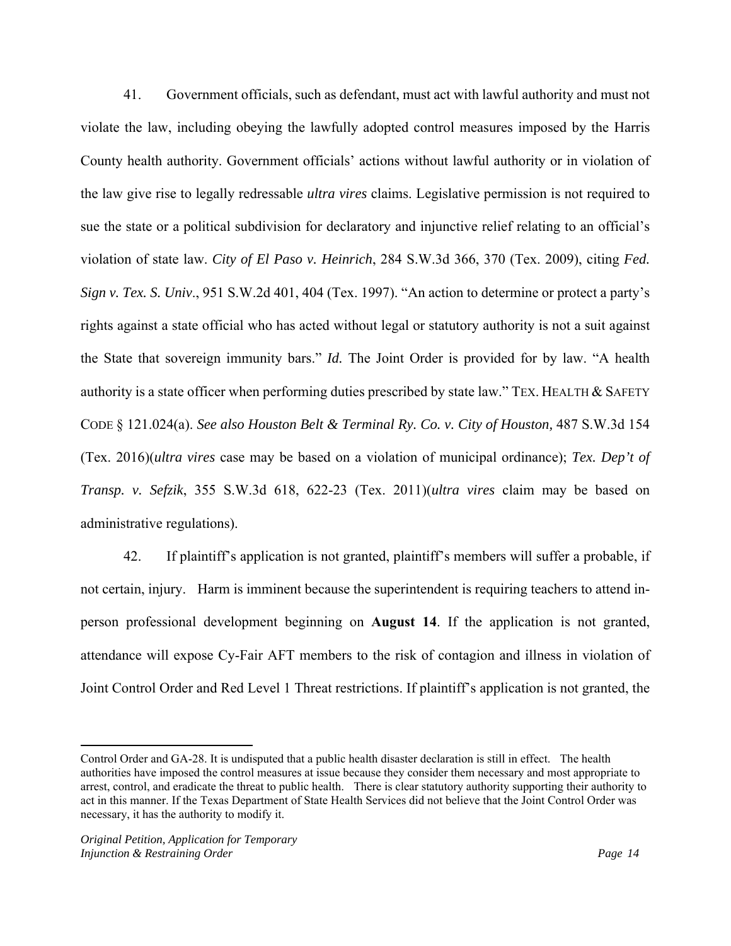41. Government officials, such as defendant, must act with lawful authority and must not violate the law, including obeying the lawfully adopted control measures imposed by the Harris County health authority. Government officials' actions without lawful authority or in violation of the law give rise to legally redressable *ultra vires* claims. Legislative permission is not required to sue the state or a political subdivision for declaratory and injunctive relief relating to an official's violation of state law. *City of El Paso v. Heinrich*, 284 S.W.3d 366, 370 (Tex. 2009), citing *Fed. Sign v. Tex. S. Univ*., 951 S.W.2d 401, 404 (Tex. 1997). "An action to determine or protect a party's rights against a state official who has acted without legal or statutory authority is not a suit against the State that sovereign immunity bars." *Id.* The Joint Order is provided for by law. "A health authority is a state officer when performing duties prescribed by state law." TEX. HEALTH  $&$  SAFETY CODE § 121.024(a). *See also Houston Belt & Terminal Ry. Co. v. City of Houston,* 487 S.W.3d 154 (Tex. 2016)(*ultra vires* case may be based on a violation of municipal ordinance); *Tex. Dep't of Transp. v. Sefzik*, 355 S.W.3d 618, 622-23 (Tex. 2011)(*ultra vires* claim may be based on administrative regulations).

42. If plaintiff's application is not granted, plaintiff's members will suffer a probable, if not certain, injury. Harm is imminent because the superintendent is requiring teachers to attend inperson professional development beginning on **August 14**. If the application is not granted, attendance will expose Cy-Fair AFT members to the risk of contagion and illness in violation of Joint Control Order and Red Level 1 Threat restrictions. If plaintiff's application is not granted, the

Control Order and GA-28. It is undisputed that a public health disaster declaration is still in effect. The health authorities have imposed the control measures at issue because they consider them necessary and most appropriate to arrest, control, and eradicate the threat to public health. There is clear statutory authority supporting their authority to act in this manner. If the Texas Department of State Health Services did not believe that the Joint Control Order was necessary, it has the authority to modify it.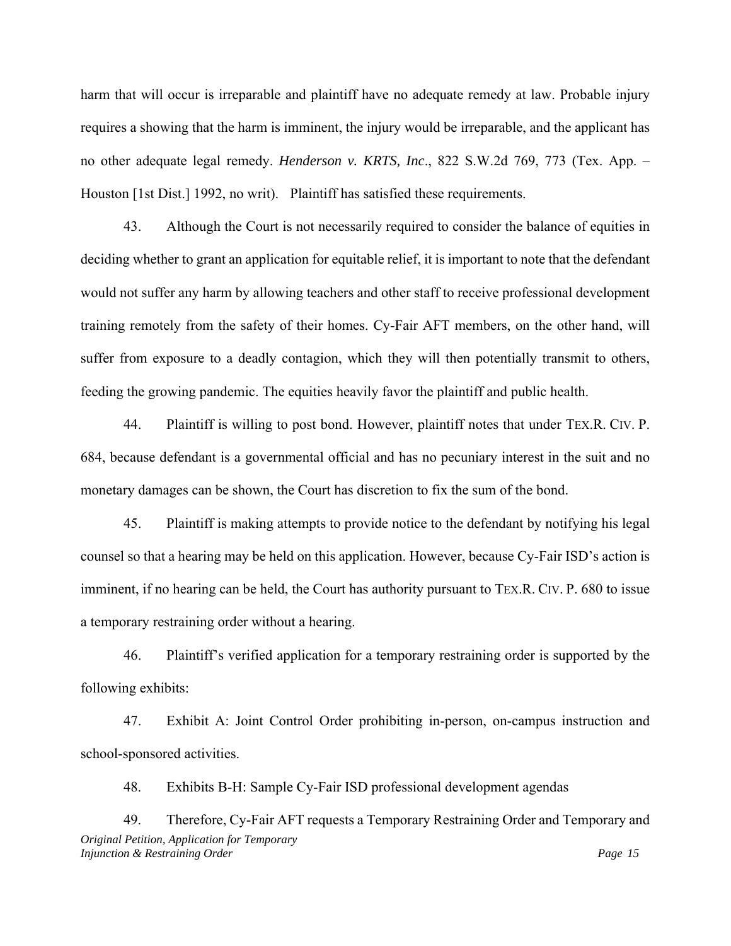harm that will occur is irreparable and plaintiff have no adequate remedy at law. Probable injury requires a showing that the harm is imminent, the injury would be irreparable, and the applicant has no other adequate legal remedy. *Henderson v. KRTS, Inc*., 822 S.W.2d 769, 773 (Tex. App. – Houston [1st Dist.] 1992, no writ). Plaintiff has satisfied these requirements.

43. Although the Court is not necessarily required to consider the balance of equities in deciding whether to grant an application for equitable relief, it is important to note that the defendant would not suffer any harm by allowing teachers and other staff to receive professional development training remotely from the safety of their homes. Cy-Fair AFT members, on the other hand, will suffer from exposure to a deadly contagion, which they will then potentially transmit to others, feeding the growing pandemic. The equities heavily favor the plaintiff and public health.

44. Plaintiff is willing to post bond. However, plaintiff notes that under TEX.R. CIV. P. 684, because defendant is a governmental official and has no pecuniary interest in the suit and no monetary damages can be shown, the Court has discretion to fix the sum of the bond.

45. Plaintiff is making attempts to provide notice to the defendant by notifying his legal counsel so that a hearing may be held on this application. However, because Cy-Fair ISD's action is imminent, if no hearing can be held, the Court has authority pursuant to TEX.R. CIV. P. 680 to issue a temporary restraining order without a hearing.

46. Plaintiff's verified application for a temporary restraining order is supported by the following exhibits:

47. Exhibit A: Joint Control Order prohibiting in-person, on-campus instruction and school-sponsored activities.

48. Exhibits B-H: Sample Cy-Fair ISD professional development agendas

*Original Petition, Application for Temporary Injunction & Restraining Order*  $\frac{1}{2}$  *Page 15*  $\frac{1}{2}$  *Page 15*  $\frac{1}{2}$  *Page 15*  $\frac{1}{2}$  *Page 15*  $\frac{1}{2}$  *Page 15*  $\frac{1}{2}$  *Page 15*  $\frac{1}{2}$  *Page 15*  $\frac{1}{2}$  *Page 15*  $\frac{1}{2}$  *Page 15*  $\frac{1}{2}$ 49. Therefore, Cy-Fair AFT requests a Temporary Restraining Order and Temporary and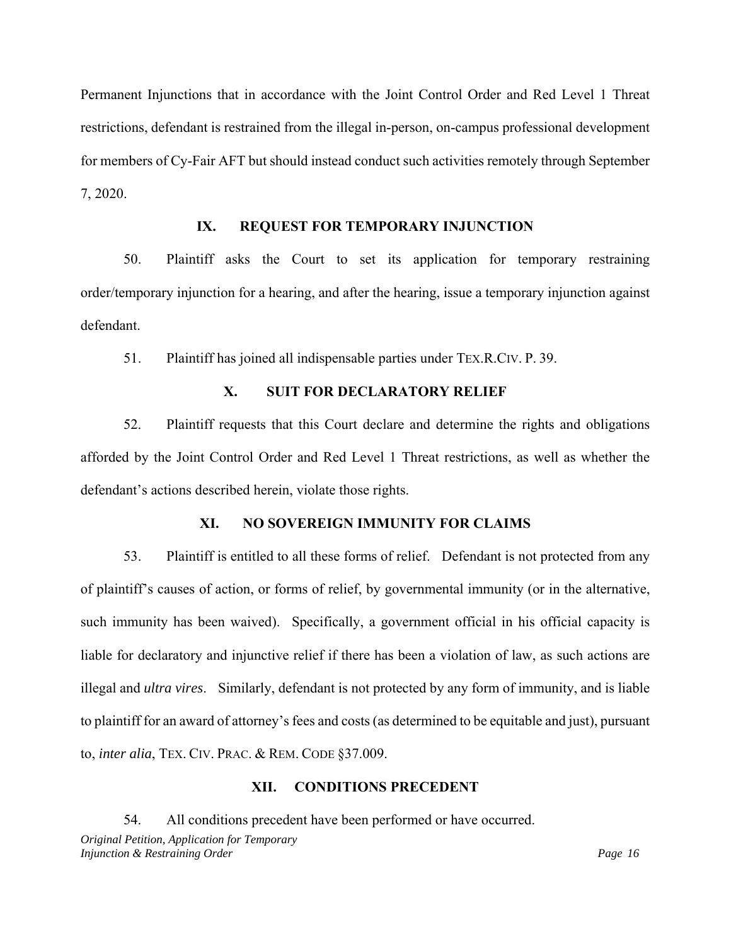Permanent Injunctions that in accordance with the Joint Control Order and Red Level 1 Threat restrictions, defendant is restrained from the illegal in-person, on-campus professional development for members of Cy-Fair AFT but should instead conduct such activities remotely through September 7, 2020.

# **IX. REQUEST FOR TEMPORARY INJUNCTION**

50. Plaintiff asks the Court to set its application for temporary restraining order/temporary injunction for a hearing, and after the hearing, issue a temporary injunction against defendant.

51. Plaintiff has joined all indispensable parties under TEX.R.CIV. P. 39.

## **X. SUIT FOR DECLARATORY RELIEF**

52. Plaintiff requests that this Court declare and determine the rights and obligations afforded by the Joint Control Order and Red Level 1 Threat restrictions, as well as whether the defendant's actions described herein, violate those rights.

## **XI. NO SOVEREIGN IMMUNITY FOR CLAIMS**

53. Plaintiff is entitled to all these forms of relief. Defendant is not protected from any of plaintiff's causes of action, or forms of relief, by governmental immunity (or in the alternative, such immunity has been waived). Specifically, a government official in his official capacity is liable for declaratory and injunctive relief if there has been a violation of law, as such actions are illegal and *ultra vires*. Similarly, defendant is not protected by any form of immunity, and is liable to plaintiff for an award of attorney's fees and costs (as determined to be equitable and just), pursuant to, *inter alia*, TEX. CIV. PRAC. & REM. CODE §37.009.

## **XII. CONDITIONS PRECEDENT**

*Original Petition, Application for Temporary Injunction & Restraining Order*  $\frac{1}{2}$  *Page 16*  $\frac{1}{2}$  *Page 16*  $\frac{1}{2}$  *Page 16*  $\frac{1}{2}$  *Page 16*  $\frac{1}{2}$  *Page 16*  $\frac{1}{2}$  *Page 16*  $\frac{1}{2}$  *Page 16*  $\frac{1}{2}$  *Page 16*  $\frac{1}{2}$  *Page 16*  $\frac{1}{2}$ 54. All conditions precedent have been performed or have occurred.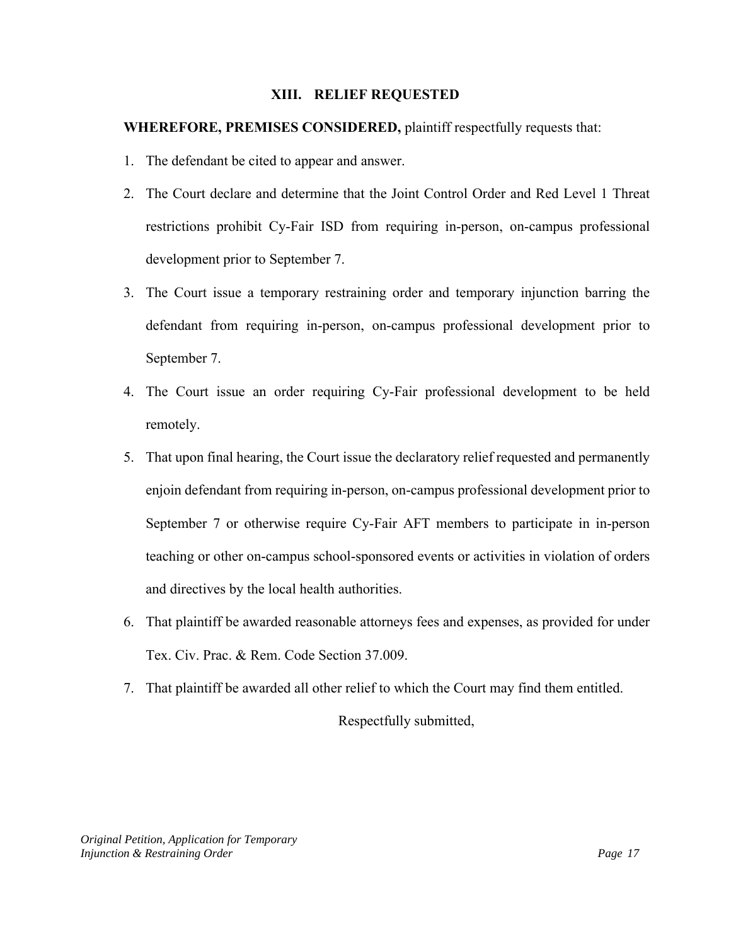## **XIII. RELIEF REQUESTED**

## **WHEREFORE, PREMISES CONSIDERED,** plaintiff respectfully requests that:

- 1. The defendant be cited to appear and answer.
- 2. The Court declare and determine that the Joint Control Order and Red Level 1 Threat restrictions prohibit Cy-Fair ISD from requiring in-person, on-campus professional development prior to September 7.
- 3. The Court issue a temporary restraining order and temporary injunction barring the defendant from requiring in-person, on-campus professional development prior to September 7.
- 4. The Court issue an order requiring Cy-Fair professional development to be held remotely.
- 5. That upon final hearing, the Court issue the declaratory relief requested and permanently enjoin defendant from requiring in-person, on-campus professional development prior to September 7 or otherwise require Cy-Fair AFT members to participate in in-person teaching or other on-campus school-sponsored events or activities in violation of orders and directives by the local health authorities.
- 6. That plaintiff be awarded reasonable attorneys fees and expenses, as provided for under Tex. Civ. Prac. & Rem. Code Section 37.009.
- 7. That plaintiff be awarded all other relief to which the Court may find them entitled.

Respectfully submitted,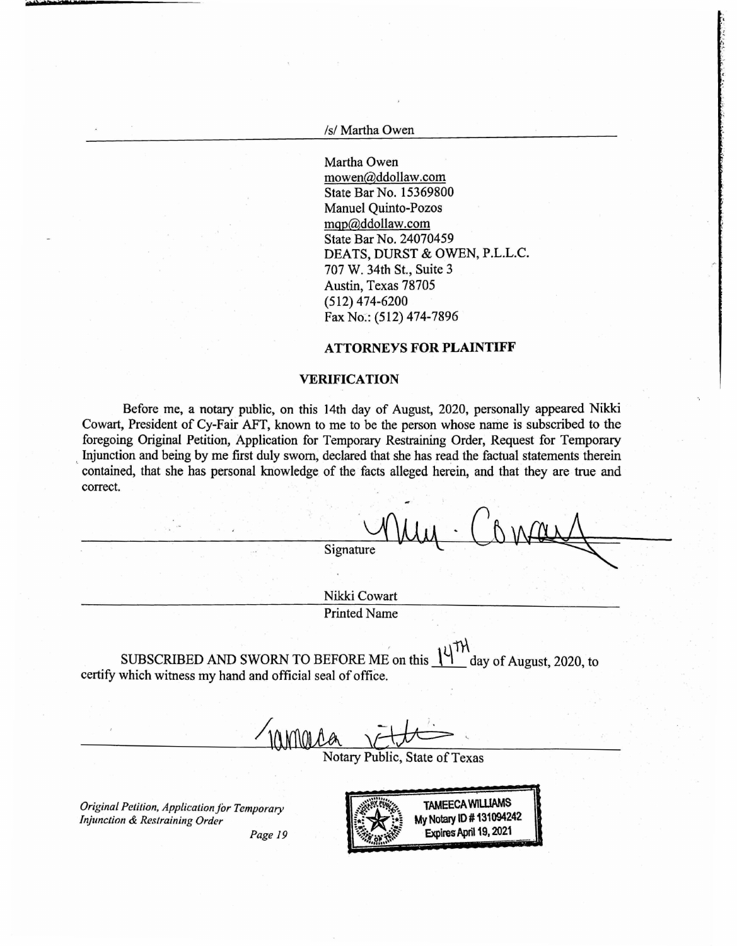*Isl* Martha Owen

Martha Owen mowen@ddollaw.com State Bar No. 15369800 Manuel Quinto-Pozos mqp@ddollaw.com State Bar No. 24070459 DEATS, DURST & OWEN, P.L.L.C. 707 W. 34th St., Suite 3 Austin, Texas 78705 (512) 474-6200 Fax No:: (512) 474-7896

#### **ATTORNEYS FOR PLAINTIFF**

#### **VERIFICATION**

Before me, a notary public, on this 14th day of August, 2020, personally appeared Nikki Cowart, President of Cy-Fair AFT, known to me to be the person whose name is subscribed to the foregoing Original Petition, Application for Temporary Restraining Order, Request for Temporary Injunction and being by me first duly sworn, declared that she has read the factual statements therein contained, that she has personal knowledge of the facts alleged herein, and that they are true and correct.

Signature

Nikki Cowart Printed Name

SUBSCRIBED AND SWORN TO BEFORE ME on this  $\frac{1}{1}$  day of August, 2020, to certify which witness my hand and official seal of office.

amore

Notary Public, State of Texas

*Original Petition, Application for Temporary Injunction & Restraining Order* 



*Page 19*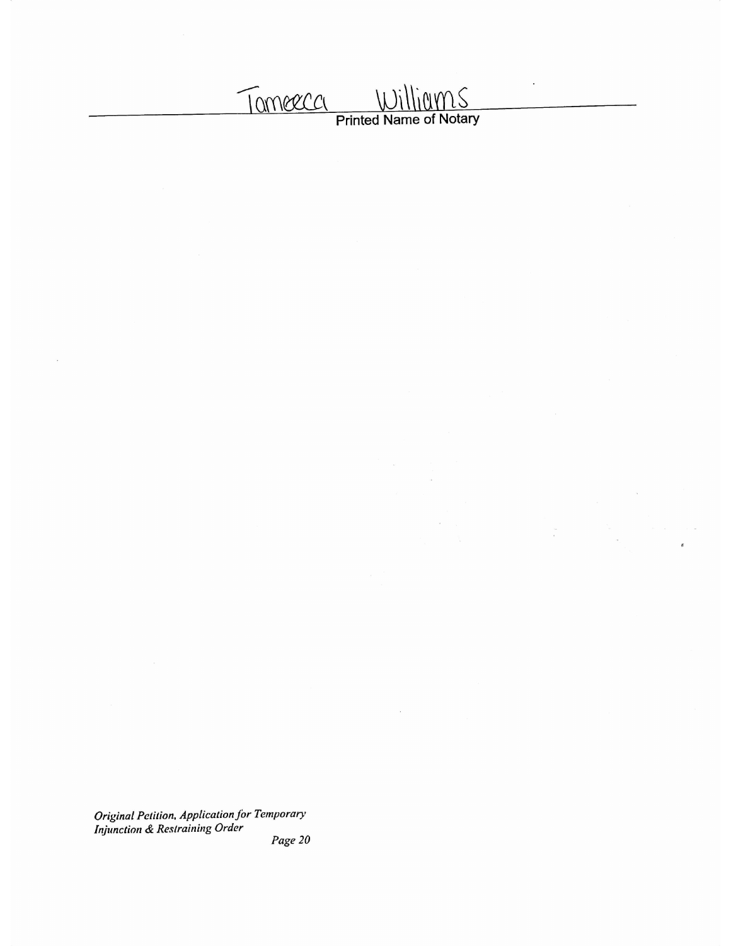William S Tomeeca

 $\frac{1}{\sqrt{2}}$ 

Original Petition, Application for Temporary<br>Injunction & Restraining Order

Page  $20$